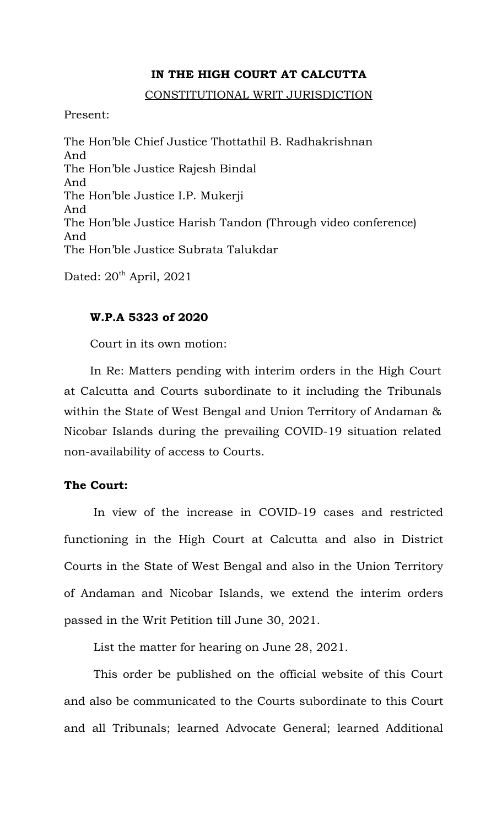## **IN THE HIGH COURT AT CALCUTTA**

### CONSTITUTIONAL WRIT JURISDICTION

Present:

The Hon'ble Chief Justice Thottathil B. Radhakrishnan And The Hon'ble Justice Rajesh Bindal And The Hon'ble Justice I.P. Mukerji And The Hon'ble Justice Harish Tandon (Through video conference) And The Hon'ble Justice Subrata Talukdar

Dated:  $20<sup>th</sup>$  April, 2021

## **W.P.A 5323 of 2020**

Court in its own motion:

In Re: Matters pending with interim orders in the High Court at Calcutta and Courts subordinate to it including the Tribunals within the State of West Bengal and Union Territory of Andaman & Nicobar Islands during the prevailing COVID-19 situation related non-availability of access to Courts.

### **The Court:**

In view of the increase in COVID-19 cases and restricted functioning in the High Court at Calcutta and also in District Courts in the State of West Bengal and also in the Union Territory of Andaman and Nicobar Islands, we extend the interim orders passed in the Writ Petition till June 30, 2021.

List the matter for hearing on June 28, 2021.

This order be published on the official website of this Court and also be communicated to the Courts subordinate to this Court and all Tribunals; learned Advocate General; learned Additional